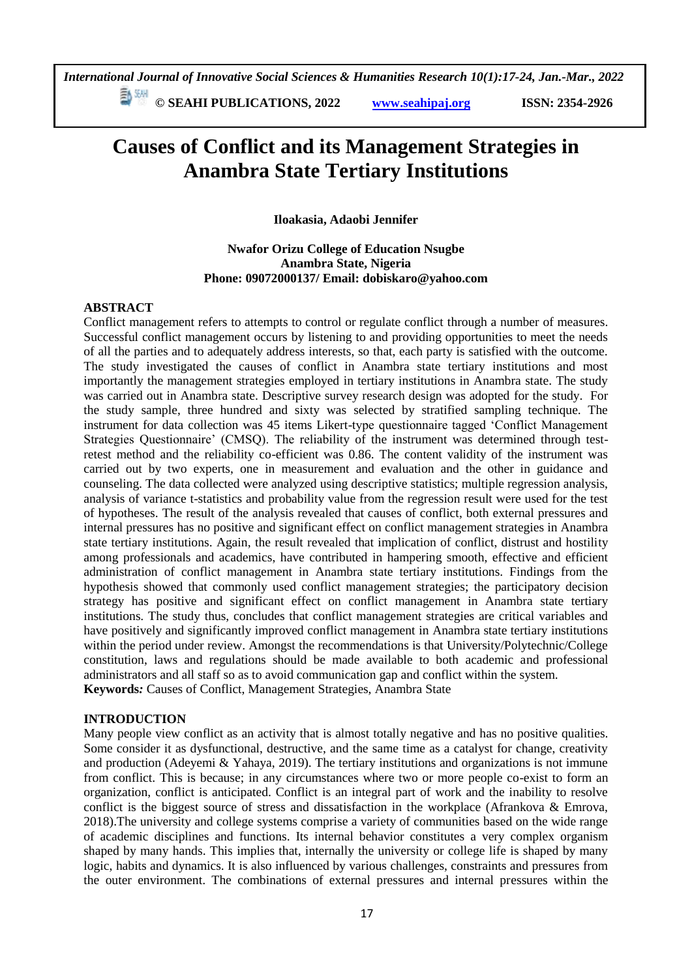**© SEAHI PUBLICATIONS, 2022 [www.seahipaj.org](http://www.seahipaj.org/) ISSN: 2354-2926** 

# **Causes of Conflict and its Management Strategies in Anambra State Tertiary Institutions**

**Iloakasia, Adaobi Jennifer**

**Nwafor Orizu College of Education Nsugbe Anambra State, Nigeria Phone: 09072000137/ Email: dobiskaro@yahoo.com**

#### **ABSTRACT**

Conflict management refers to attempts to control or regulate conflict through a number of measures. Successful conflict management occurs by listening to and providing opportunities to meet the needs of all the parties and to adequately address interests, so that, each party is satisfied with the outcome. The study investigated the causes of conflict in Anambra state tertiary institutions and most importantly the management strategies employed in tertiary institutions in Anambra state. The study was carried out in Anambra state. Descriptive survey research design was adopted for the study. For the study sample, three hundred and sixty was selected by stratified sampling technique. The instrument for data collection was 45 items Likert-type questionnaire tagged 'Conflict Management Strategies Questionnaire' (CMSQ). The reliability of the instrument was determined through testretest method and the reliability co-efficient was 0.86. The content validity of the instrument was carried out by two experts, one in measurement and evaluation and the other in guidance and counseling. The data collected were analyzed using descriptive statistics; multiple regression analysis, analysis of variance t-statistics and probability value from the regression result were used for the test of hypotheses. The result of the analysis revealed that causes of conflict, both external pressures and internal pressures has no positive and significant effect on conflict management strategies in Anambra state tertiary institutions. Again, the result revealed that implication of conflict, distrust and hostility among professionals and academics, have contributed in hampering smooth, effective and efficient administration of conflict management in Anambra state tertiary institutions. Findings from the hypothesis showed that commonly used conflict management strategies; the participatory decision strategy has positive and significant effect on conflict management in Anambra state tertiary institutions. The study thus, concludes that conflict management strategies are critical variables and have positively and significantly improved conflict management in Anambra state tertiary institutions within the period under review. Amongst the recommendations is that University/Polytechnic/College constitution, laws and regulations should be made available to both academic and professional administrators and all staff so as to avoid communication gap and conflict within the system. **Keywords***:* Causes of Conflict, Management Strategies, Anambra State

#### **INTRODUCTION**

Many people view conflict as an activity that is almost totally negative and has no positive qualities. Some consider it as dysfunctional, destructive, and the same time as a catalyst for change, creativity and production (Adeyemi & Yahaya, 2019). The tertiary institutions and organizations is not immune from conflict. This is because; in any circumstances where two or more people co-exist to form an organization, conflict is anticipated. Conflict is an integral part of work and the inability to resolve conflict is the biggest source of stress and dissatisfaction in the workplace (Afrankova & Emrova, 2018).The university and college systems comprise a variety of communities based on the wide range of academic disciplines and functions. Its internal behavior constitutes a very complex organism shaped by many hands. This implies that, internally the university or college life is shaped by many logic, habits and dynamics. It is also influenced by various challenges, constraints and pressures from the outer environment. The combinations of external pressures and internal pressures within the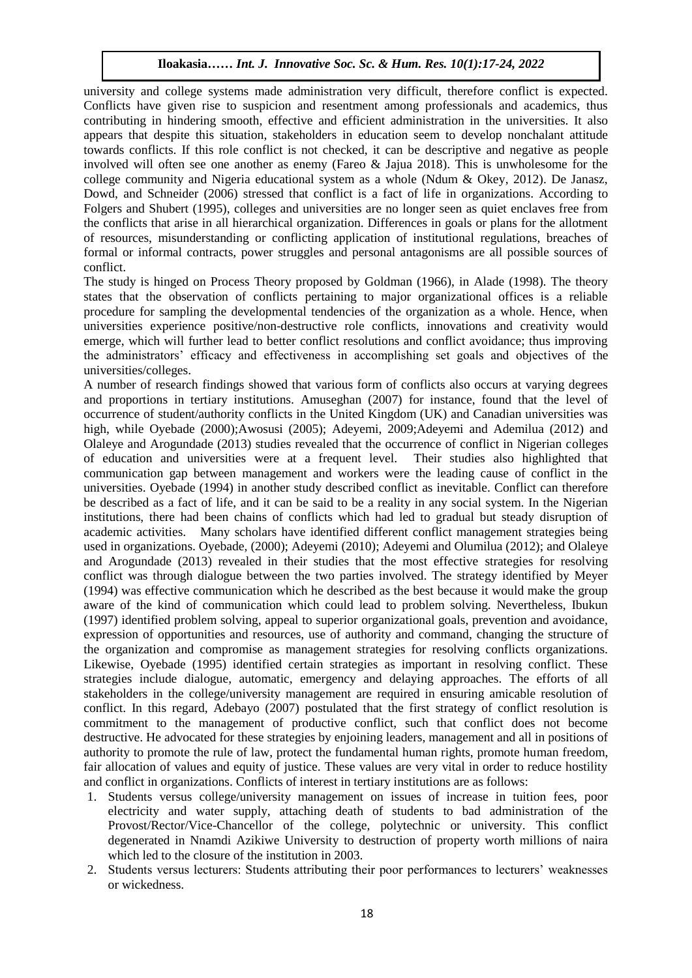university and college systems made administration very difficult, therefore conflict is expected. Conflicts have given rise to suspicion and resentment among professionals and academics, thus contributing in hindering smooth, effective and efficient administration in the universities. It also contributing in innovating sinooth, effective and efficient administration in the universities. It also appears that despite this situation, stakeholders in education seem to develop nonchalant attitude towards conflicts. If this role conflict is not checked, it can be descriptive and negative as people involved will often see one another as enemy (Fareo  $\&$  Jajua 2018). This is unwholesome for the college community and Nigeria educational system as a whole (Ndum & Okey, 2012). De Janasz, Long Community and Tageria calculational system as a writted (tream extendity, 2012). 20 cannot, the Dowd, and Schneider (2006) stressed that conflict is a fact of life in organizations. According to Folgers and Shubert (1995), colleges and universities are no longer seen as quiet enclaves free from the conflicts that arise in all hierarchical organization. Differences in goals or plans for the allotment of resources, misunderstanding or conflicting application of institutional regulations, breaches of formal or informal contracts, power struggles and personal antagonisms are all possible sources of conflict.

The study is hinged on Process Theory proposed by Goldman (1966), in Alade (1998). The theory states that the observation of conflicts pertaining to major organizational offices is a reliable procedure for sampling the developmental tendencies of the organization as a whole. Hence, when universities experience positive/non-destructive role conflicts, innovations and creativity would emerge, which will further lead to better conflict resolutions and conflict avoidance; thus improving the administrators' efficacy and effectiveness in accomplishing set goals and objectives of the universities/colleges.

A number of research findings showed that various form of conflicts also occurs at varying degrees and proportions in tertiary institutions. Amuseghan (2007) for instance, found that the level of occurrence of student/authority conflicts in the United Kingdom (UK) and Canadian universities was high, while Oyebade (2000);Awosusi (2005); Adeyemi, 2009;Adeyemi and Ademilua (2012) and Olaleye and Arogundade (2013) studies revealed that the occurrence of conflict in Nigerian colleges of education and universities were at a frequent level. Their studies also highlighted that communication gap between management and workers were the leading cause of conflict in the universities. Oyebade (1994) in another study described conflict as inevitable. Conflict can therefore be described as a fact of life, and it can be said to be a reality in any social system. In the Nigerian institutions, there had been chains of conflicts which had led to gradual but steady disruption of academic activities. Many scholars have identified different conflict management strategies being used in organizations. Oyebade, (2000); Adeyemi (2010); Adeyemi and Olumilua (2012); and Olaleye and Arogundade (2013) revealed in their studies that the most effective strategies for resolving conflict was through dialogue between the two parties involved. The strategy identified by Meyer (1994) was effective communication which he described as the best because it would make the group aware of the kind of communication which could lead to problem solving. Nevertheless, Ibukun (1997) identified problem solving, appeal to superior organizational goals, prevention and avoidance, expression of opportunities and resources, use of authority and command, changing the structure of the organization and compromise as management strategies for resolving conflicts organizations. Likewise, Oyebade (1995) identified certain strategies as important in resolving conflict. These strategies include dialogue, automatic, emergency and delaying approaches. The efforts of all stakeholders in the college/university management are required in ensuring amicable resolution of conflict. In this regard, Adebayo (2007) postulated that the first strategy of conflict resolution is commitment to the management of productive conflict, such that conflict does not become destructive. He advocated for these strategies by enjoining leaders, management and all in positions of authority to promote the rule of law, protect the fundamental human rights, promote human freedom, fair allocation of values and equity of justice. These values are very vital in order to reduce hostility and conflict in organizations. Conflicts of interest in tertiary institutions are as follows:

- 1. Students versus college/university management on issues of increase in tuition fees, poor electricity and water supply, attaching death of students to bad administration of the Provost/Rector/Vice-Chancellor of the college, polytechnic or university. This conflict degenerated in Nnamdi Azikiwe University to destruction of property worth millions of naira which led to the closure of the institution in 2003.
- 2. Students versus lecturers: Students attributing their poor performances to lecturers' weaknesses or wickedness.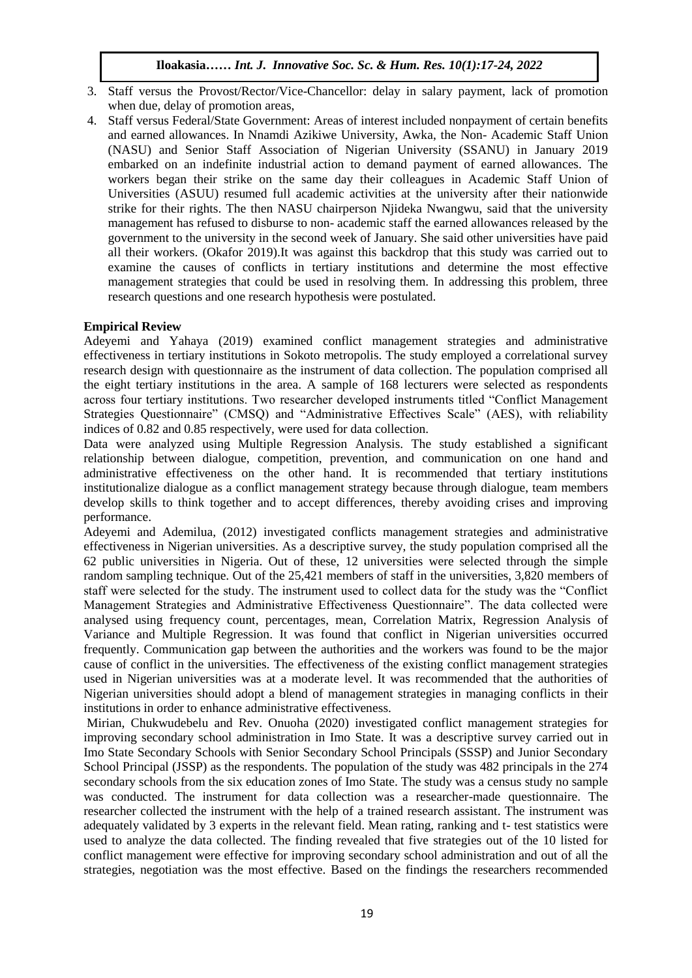- 3. Staff versus the Provost/Rector/Vice-Chancellor: delay in salary payment, lack of promotion when due, delay of promotion areas,
- 4. Staff versus Federal/State Government: Areas of interest included nonpayment of certain benefits Blart versus Federal State Government. Areas of interest included holipayment of certain benefits and earned allowances. In Nnamdi Azikiwe University, Awka, the Non-Academic Staff Union (NASU) and Senior Staff Association of Nigerian University (SSANU) in January 2019 embarked on an indefinite industrial action to demand payment of earned allowances. The embarked on an indefinite industrial action to demand payment of earned allowances. The workers began their strike on the same day their colleagues in Academic Staff Union of Universities (ASUU) resumed full academic activities at the university after their nationwide strike for their rights. The then NASU chairperson Njideka Nwangwu, said that the university management has refused to disburse to non- academic staff the earned allowances released by the government to the university in the second week of January. She said other universities have paid all their workers. (Okafor 2019).It was against this backdrop that this study was carried out to examine the causes of conflicts in tertiary institutions and determine the most effective management strategies that could be used in resolving them. In addressing this problem, three research questions and one research hypothesis were postulated.

## **Empirical Review**

Adeyemi and Yahaya (2019) examined conflict management strategies and administrative effectiveness in tertiary institutions in Sokoto metropolis. The study employed a correlational survey research design with questionnaire as the instrument of data collection. The population comprised all the eight tertiary institutions in the area. A sample of 168 lecturers were selected as respondents across four tertiary institutions. Two researcher developed instruments titled "Conflict Management Strategies Questionnaire" (CMSQ) and "Administrative Effectives Scale" (AES), with reliability indices of 0.82 and 0.85 respectively, were used for data collection.

Data were analyzed using Multiple Regression Analysis. The study established a significant relationship between dialogue, competition, prevention, and communication on one hand and administrative effectiveness on the other hand. It is recommended that tertiary institutions institutionalize dialogue as a conflict management strategy because through dialogue, team members develop skills to think together and to accept differences, thereby avoiding crises and improving performance.

Adeyemi and Ademilua, (2012) investigated conflicts management strategies and administrative effectiveness in Nigerian universities. As a descriptive survey, the study population comprised all the 62 public universities in Nigeria. Out of these, 12 universities were selected through the simple random sampling technique. Out of the 25,421 members of staff in the universities, 3,820 members of staff were selected for the study. The instrument used to collect data for the study was the "Conflict Management Strategies and Administrative Effectiveness Questionnaire". The data collected were analysed using frequency count, percentages, mean, Correlation Matrix, Regression Analysis of Variance and Multiple Regression. It was found that conflict in Nigerian universities occurred frequently. Communication gap between the authorities and the workers was found to be the major cause of conflict in the universities. The effectiveness of the existing conflict management strategies used in Nigerian universities was at a moderate level. It was recommended that the authorities of Nigerian universities should adopt a blend of management strategies in managing conflicts in their institutions in order to enhance administrative effectiveness.

Mirian, Chukwudebelu and Rev. Onuoha (2020) investigated conflict management strategies for improving secondary school administration in Imo State. It was a descriptive survey carried out in Imo State Secondary Schools with Senior Secondary School Principals (SSSP) and Junior Secondary School Principal (JSSP) as the respondents. The population of the study was 482 principals in the 274 secondary schools from the six education zones of Imo State. The study was a census study no sample was conducted. The instrument for data collection was a researcher-made questionnaire. The researcher collected the instrument with the help of a trained research assistant. The instrument was adequately validated by 3 experts in the relevant field. Mean rating, ranking and t- test statistics were used to analyze the data collected. The finding revealed that five strategies out of the 10 listed for conflict management were effective for improving secondary school administration and out of all the strategies, negotiation was the most effective. Based on the findings the researchers recommended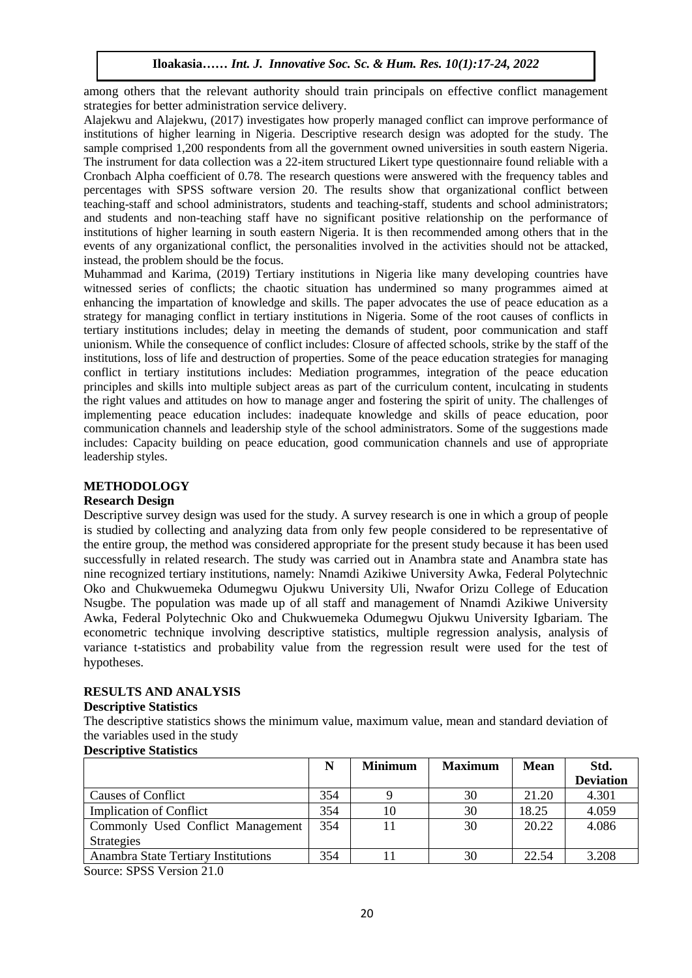among others that the relevant authority should train principals on effective conflict management strategies for better administration service delivery.

Alajekwu and Alajekwu, (2017) investigates how properly managed conflict can improve performance of Alajekwu and Alajekwu, (2017) investigates now property managed conflict can improve performance of institutions of higher learning in Nigeria. Descriptive research design was adopted for the study. The sample comprised 1,200 respondents from all the government owned universities in south eastern Nigeria. The instrument for data collection was a 22-item structured Likert type questionnaire found reliable with a The instrument for data collection was a 22-item structured Likert type questionnaire found reliable with a Cronbach Alpha coefficient of 0.78. The research questions were answered with the frequency tables and percentages with SPSS software version 20. The results show that organizational conflict between teaching-staff and school administrators, students and teaching-staff, students and school administrators; and students and non-teaching staff have no significant positive relationship on the performance of institutions of higher learning in south eastern Nigeria. It is then recommended among others that in the events of any organizational conflict, the personalities involved in the activities should not be attacked, instead, the problem should be the focus.

Muhammad and Karima, (2019) Tertiary institutions in Nigeria like many developing countries have witnessed series of conflicts; the chaotic situations in regerm like many developing countries have witnessed series of conflicts; the chaotic situation has undermined so many programmes aimed at enhancing the impartation of knowledge and skills. The paper advocates the use of peace education as a strategy for managing conflict in tertiary institutions in Nigeria. Some of the root causes of conflicts in tertiary institutions includes; delay in meeting the demands of student, poor communication and staff unionism. While the consequence of conflict includes: Closure of affected schools, strike by the staff of the institutions, loss of life and destruction of properties. Some of the peace education strategies for managing conflict in tertiary institutions includes: Mediation programmes, integration of the peace education principles and skills into multiple subject areas as part of the curriculum content, inculcating in students the right values and attitudes on how to manage anger and fostering the spirit of unity. The challenges of implementing peace education includes: inadequate knowledge and skills of peace education, poor communication channels and leadership style of the school administrators. Some of the suggestions made includes: Capacity building on peace education, good communication channels and use of appropriate leadership styles.

## **METHODOLOGY**

#### **Research Design**

Descriptive survey design was used for the study. A survey research is one in which a group of people is studied by collecting and analyzing data from only few people considered to be representative of the entire group, the method was considered appropriate for the present study because it has been used successfully in related research. The study was carried out in Anambra state and Anambra state has nine recognized tertiary institutions, namely: Nnamdi Azikiwe University Awka, Federal Polytechnic Oko and Chukwuemeka Odumegwu Ojukwu University Uli, Nwafor Orizu College of Education Nsugbe. The population was made up of all staff and management of Nnamdi Azikiwe University Awka, Federal Polytechnic Oko and Chukwuemeka Odumegwu Ojukwu University Igbariam. The econometric technique involving descriptive statistics, multiple regression analysis, analysis of variance t-statistics and probability value from the regression result were used for the test of hypotheses.

## **RESULTS AND ANALYSIS**

#### **Descriptive Statistics**

The descriptive statistics shows the minimum value, maximum value, mean and standard deviation of the variables used in the study

#### **Descriptive Statistics**

|                                     | N   | <b>Minimum</b> | <b>Maximum</b> | <b>Mean</b> | Std.             |
|-------------------------------------|-----|----------------|----------------|-------------|------------------|
|                                     |     |                |                |             | <b>Deviation</b> |
| <b>Causes of Conflict</b>           | 354 |                | 30             | 21.20       | 4.301            |
| <b>Implication of Conflict</b>      | 354 | 10             | 30             | 18.25       | 4.059            |
| Commonly Used Conflict Management   | 354 |                | 30             | 20.22       | 4.086            |
| <b>Strategies</b>                   |     |                |                |             |                  |
| Anambra State Tertiary Institutions | 354 |                | 30             | 22.54       | 3.208            |

Source: SPSS Version 21.0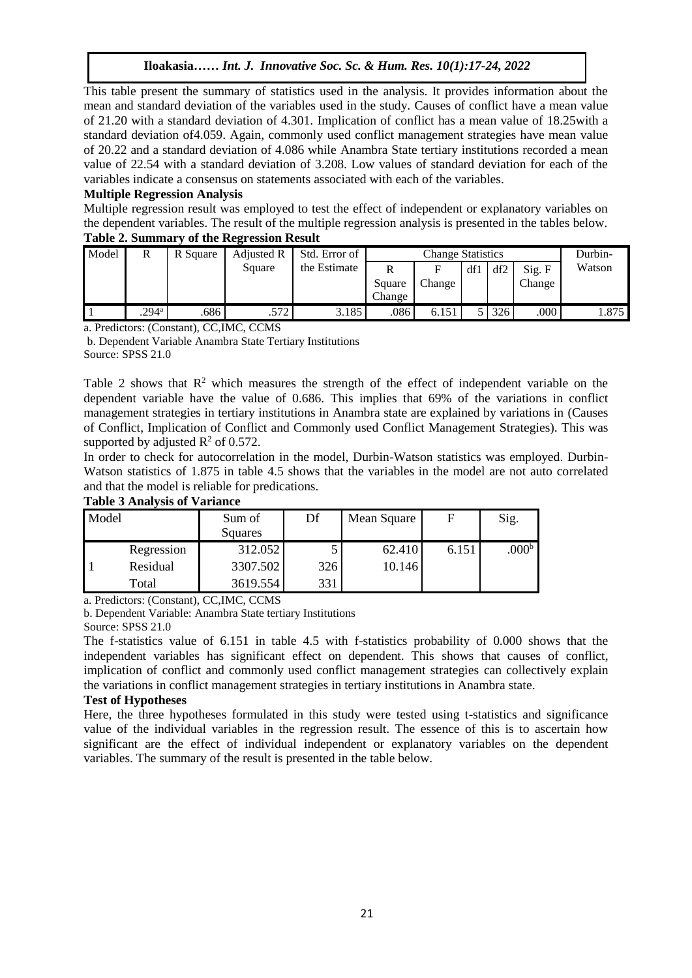This table present the summary of statistics used in the analysis. It provides information about the  $\frac{1}{2}$ mean and standard deviation of the variables used in the study. Causes of conflict have a mean value of 21.20 with a standard deviation of 4.301. Implication of conflict has a mean value of 18.25with a of 21.20 with a standard deviation of 4.501. Implication of conflict has a filed value of 10.25 with a standard deviation of 4.059. Again, commonly used conflict management strategies have mean value of 20.22 and a standard deviation of 4.086 while Anambra State tertiary institutions recorded a mean value of 22.54 with a standard deviation of 3.208. Low values of standard deviation for each of the variables indicate a consensus on statements associated with each of the variables.

## **Multiple Regression Analysis**

Multiple regression result was employed to test the effect of independent or explanatory variables on the dependent variables. The result of the multiple regression analysis is presented in the tables below.

## **Table 2. Summary of the Regression Result**

| Model | R                 | R Square | Adjusted R<br>Std. Error of |              | <b>Change Statistics</b> |        |     |     | Durbin- |        |
|-------|-------------------|----------|-----------------------------|--------------|--------------------------|--------|-----|-----|---------|--------|
|       |                   |          | Square                      | the Estimate | R                        | F      | df1 | df2 | Sig. F  | Watson |
|       |                   |          |                             |              | Square                   | Change |     |     | Change  |        |
|       |                   |          |                             |              | Change                   |        |     |     |         |        |
|       | .294 <sup>a</sup> | .686     | .572                        | 3.185        | .086                     | 6.151  |     | 326 | .000    | 1.875  |

a. Predictors: (Constant), CC,IMC, CCMS

b. Dependent Variable Anambra State Tertiary Institutions Source: SPSS 21.0

Table 2 shows that  $\mathbb{R}^2$  which measures the strength of the effect of independent variable on the dependent variable have the value of 0.686. This implies that 69% of the variations in conflict management strategies in tertiary institutions in Anambra state are explained by variations in (Causes of Conflict, Implication of Conflict and Commonly used Conflict Management Strategies). This was supported by adjusted  $R^2$  of 0.572.

In order to check for autocorrelation in the model, Durbin-Watson statistics was employed. Durbin-Watson statistics of 1.875 in table 4.5 shows that the variables in the model are not auto correlated and that the model is reliable for predications.

#### **Table 3 Analysis of Variance**

| Model |            | Sum of<br>Squares | Df  | Mean Square | F     | Sig.              |
|-------|------------|-------------------|-----|-------------|-------|-------------------|
|       | Regression | 312.052           |     | 62.410      | 6.151 | .000 <sup>b</sup> |
|       | Residual   | 3307.502          | 326 | 10.146      |       |                   |
|       | Total      | 3619.554          | 331 |             |       |                   |

a. Predictors: (Constant), CC,IMC, CCMS

b. Dependent Variable: Anambra State tertiary Institutions

Source: SPSS 21.0

The f-statistics value of 6.151 in table 4.5 with f-statistics probability of 0.000 shows that the independent variables has significant effect on dependent. This shows that causes of conflict, implication of conflict and commonly used conflict management strategies can collectively explain the variations in conflict management strategies in tertiary institutions in Anambra state.

#### **Test of Hypotheses**

Here, the three hypotheses formulated in this study were tested using t-statistics and significance value of the individual variables in the regression result. The essence of this is to ascertain how significant are the effect of individual independent or explanatory variables on the dependent variables. The summary of the result is presented in the table below.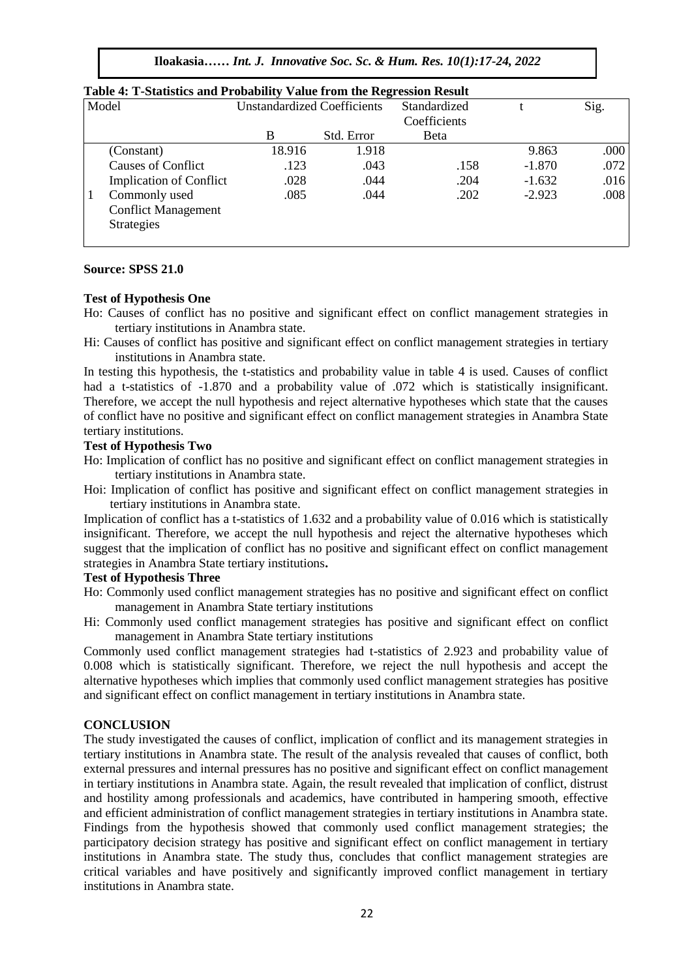**Iloakasia***…… Int. J. Innovative Soc. Sc. & Hum. Res. 10(1):17-24, 2022*

| Model                          | <b>Unstandardized Coefficients</b> |            | Standardized |          | Sig. |
|--------------------------------|------------------------------------|------------|--------------|----------|------|
|                                |                                    |            | Coefficients |          |      |
|                                | B                                  | Std. Error | Beta         |          |      |
| (Constant)                     | 18.916                             | 1.918      |              | 9.863    | .000 |
| Causes of Conflict             | .123                               | .043       | .158         | $-1.870$ | .072 |
| <b>Implication of Conflict</b> | .028                               | .044       | .204         | $-1.632$ | .016 |
| Commonly used                  | .085                               | .044       | .202         | $-2.923$ | .008 |
| <b>Conflict Management</b>     |                                    |            |              |          |      |
| <b>Strategies</b>              |                                    |            |              |          |      |
|                                |                                    |            |              |          |      |

## Table 4: T-Statistics and Probability Value from the Regression Result

#### **Source: SPSS 21.0**  $A = \frac{1}{2}$  ,  $A = \frac{1}{2}$  ,  $A = \frac{1}{2}$  ,  $A = \frac{1}{2}$  ,  $A = \frac{1}{2}$  ,  $A = \frac{1}{2}$

#### **Test of Hypothesis One**

- Ho: Causes of conflict has no positive and significant effect on conflict management strategies in tertiary institutions in Anambra state.
- Hi: Causes of conflict has positive and significant effect on conflict management strategies in tertiary institutions in Anambra state.

In testing this hypothesis, the t-statistics and probability value in table 4 is used. Causes of conflict had a t-statistics of -1.870 and a probability value of .072 which is statistically insignificant. Therefore, we accept the null hypothesis and reject alternative hypotheses which state that the causes of conflict have no positive and significant effect on conflict management strategies in Anambra State tertiary institutions.

#### **Test of Hypothesis Two**

- Ho: Implication of conflict has no positive and significant effect on conflict management strategies in tertiary institutions in Anambra state.
- Hoi: Implication of conflict has positive and significant effect on conflict management strategies in tertiary institutions in Anambra state.

Implication of conflict has a t-statistics of 1.632 and a probability value of 0.016 which is statistically insignificant. Therefore, we accept the null hypothesis and reject the alternative hypotheses which suggest that the implication of conflict has no positive and significant effect on conflict management strategies in Anambra State tertiary institutions**.**

#### **Test of Hypothesis Three**

Ho: Commonly used conflict management strategies has no positive and significant effect on conflict management in Anambra State tertiary institutions

Hi: Commonly used conflict management strategies has positive and significant effect on conflict management in Anambra State tertiary institutions

Commonly used conflict management strategies had t-statistics of 2.923 and probability value of 0.008 which is statistically significant. Therefore, we reject the null hypothesis and accept the alternative hypotheses which implies that commonly used conflict management strategies has positive and significant effect on conflict management in tertiary institutions in Anambra state.

#### **CONCLUSION**

The study investigated the causes of conflict, implication of conflict and its management strategies in tertiary institutions in Anambra state. The result of the analysis revealed that causes of conflict, both external pressures and internal pressures has no positive and significant effect on conflict management in tertiary institutions in Anambra state. Again, the result revealed that implication of conflict, distrust and hostility among professionals and academics, have contributed in hampering smooth, effective and efficient administration of conflict management strategies in tertiary institutions in Anambra state. Findings from the hypothesis showed that commonly used conflict management strategies; the participatory decision strategy has positive and significant effect on conflict management in tertiary institutions in Anambra state. The study thus, concludes that conflict management strategies are critical variables and have positively and significantly improved conflict management in tertiary institutions in Anambra state.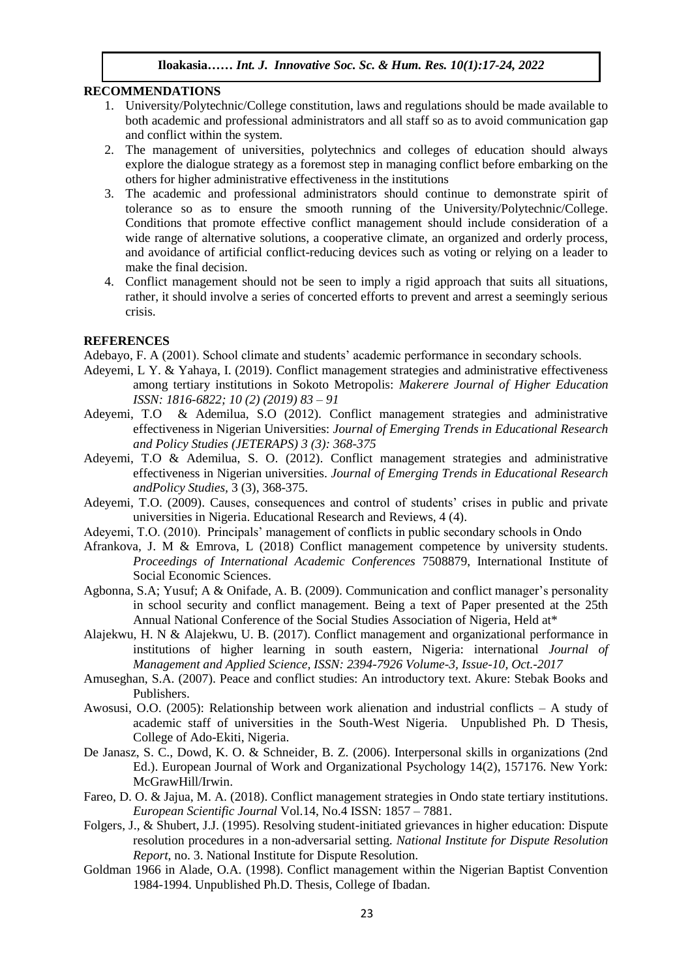#### **RECOMMENDATIONS**

- 1. University/Polytechnic/College constitution, laws and regulations should be made available to both academic and professional administrators and all staff so as to avoid communication gap and conflict within the system.  $NDAIIONS$
- 2. The management of universities, polytechnics and colleges of education should always explore the dialogue strategy as a foremost step in managing conflict before embarking on the others for higher administrative effectiveness in the institutions
- 3. The academic and professional administrators should continue to demonstrate spirit of tolerance so as to ensure the smooth running of the University/Polytechnic/College. Conditions that promote effective conflict management should include consideration of a wide range of alternative solutions, a cooperative climate, an organized and orderly process, and avoidance of artificial conflict-reducing devices such as voting or relying on a leader to make the final decision.
- 4. Conflict management should not be seen to imply a rigid approach that suits all situations, rather, it should involve a series of concerted efforts to prevent and arrest a seemingly serious crisis.

#### **REFERENCES**

Adebayo, F. A (2001). School climate and students' academic performance in secondary schools.

- Adeyemi, L Y. & Yahaya, I. (2019). Conflict management strategies and administrative effectiveness among tertiary institutions in Sokoto Metropolis: *Makerere Journal of Higher Education ISSN: 1816-6822; 10 (2) (2019) 83 – 91*
- Adeyemi, T.O & Ademilua, S.O (2012). Conflict management strategies and administrative effectiveness in Nigerian Universities: *Journal of Emerging Trends in Educational Research and Policy Studies (JETERAPS) 3 (3): 368-375*
- Adeyemi, T.O & Ademilua, S. O. (2012). Conflict management strategies and administrative effectiveness in Nigerian universities. *Journal of Emerging Trends in Educational Research andPolicy Studies,* 3 (3), 368-375.
- Adeyemi, T.O. (2009). Causes, consequences and control of students' crises in public and private universities in Nigeria. Educational Research and Reviews, 4 (4).
- Adeyemi, T.O. (2010). Principals' management of conflicts in public secondary schools in Ondo
- Afrankova, J. M & Emrova, L (2018) Conflict management competence by university students. *Proceedings of International Academic Conferences* 7508879, International Institute of Social Economic Sciences.
- Agbonna, S.A; Yusuf; A & Onifade, A. B. (2009). Communication and conflict manager's personality in school security and conflict management. Being a text of Paper presented at the 25th Annual National Conference of the Social Studies Association of Nigeria, Held at\*
- Alajekwu, H. N & Alajekwu, U. B. (2017). Conflict management and organizational performance in institutions of higher learning in south eastern, Nigeria: international *Journal of Management and Applied Science, ISSN: 2394-7926 Volume-3, Issue-10, Oct.-2017*
- Amuseghan, S.A. (2007). Peace and conflict studies: An introductory text. Akure: Stebak Books and Publishers.
- Awosusi, O.O. (2005): Relationship between work alienation and industrial conflicts A study of academic staff of universities in the South-West Nigeria. Unpublished Ph. D Thesis, College of Ado-Ekiti, Nigeria.
- De Janasz, S. C., Dowd, K. O. & Schneider, B. Z. (2006). Interpersonal skills in organizations (2nd Ed.). European Journal of Work and Organizational Psychology 14(2), 157176. New York: McGrawHill/Irwin.
- Fareo, D. O. & Jajua, M. A. (2018). Conflict management strategies in Ondo state tertiary institutions. *European Scientific Journal* Vol.14, No.4 ISSN: 1857 – 7881.
- Folgers, J., & Shubert, J.J. (1995). Resolving student-initiated grievances in higher education: Dispute resolution procedures in a non-adversarial setting. *National Institute for Dispute Resolution Report*, no. 3. National Institute for Dispute Resolution.
- Goldman 1966 in Alade, O.A. (1998). Conflict management within the Nigerian Baptist Convention 1984-1994. Unpublished Ph.D. Thesis, College of Ibadan.